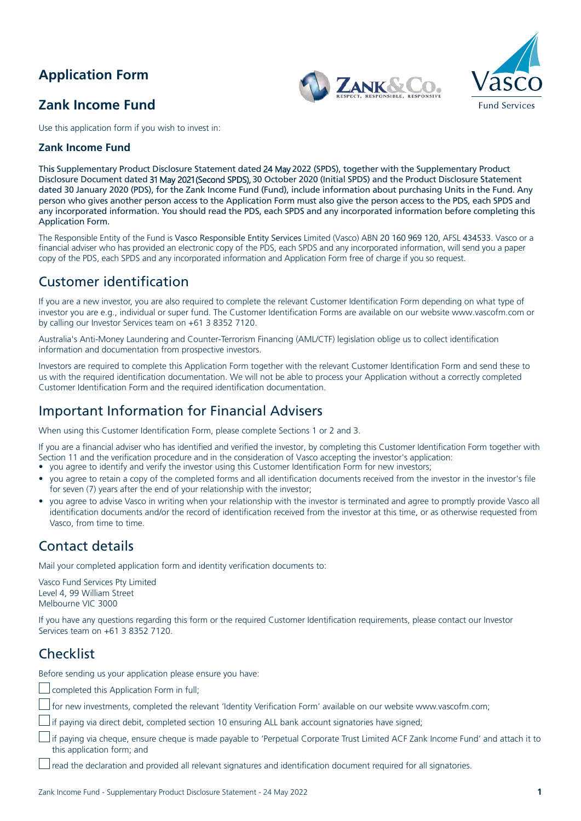# **Application Form**

## **Zank Income Fund**





Use this application form if you wish to invest in:

### **Zank Income Fund**

Th**is** Supplementary Product Disclosure Statement dated 24 May 2022 (SPDS), together with the Supplementary Product Disclosure Document dated 31 May 2021 (Second SPDS), 30 October 2020 (Initial SPDS) and the Product Disclosure Statement dated 30 January 2020 (PDS), for the Zank Income Fund (Fund), include information about purchasing Units in the Fund. Any person who gives another person access to the Application Form must also give the person access to the PDS, each SPDS and any incorporated information. You should read the PDS, each SPDS and any incorporated information before completing this Application Form.

The Responsible Entity of the Fund is Vasco Responsible Entity Services Limited (Vasco) ABN 20 160 969 120, AFSL 434533. Vasco or a financial adviser who has provided an electronic copy of the PDS, each SPDS and any incorporated information, will send you a paper copy of the PDS, each SPDS and any incorporated information and Application Form free of charge if you so request.

## Customer identification

If you are a new investor, you are also required to complete the relevant Customer Identification Form depending on what type of investor you are e.g., individual or super fund. The Customer Identification Forms are available on our website www.vascofm.com or by calling our Investor Services team on +61 3 8352 7120.

Australia's Anti-Money Laundering and Counter-Terrorism Financing (AML/CTF) legislation oblige us to collect identification information and documentation from prospective investors.

Investors are required to complete this Application Form together with the relevant Customer Identification Form and send these to us with the required identification documentation. We will not be able to process your Application without a correctly completed Customer Identification Form and the required identification documentation.

### Important Information for Financial Advisers

When using this Customer Identification Form, please complete Sections 1 or 2 and 3.

If you are a financial adviser who has identified and verified the investor, by completing this Customer Identification Form together with Section 11 and the verification procedure and in the consideration of Vasco accepting the investor's application:

- *•* you agree to identify and verify the investor using this Customer Identification Form for new investors;
- *•* you agree to retain a copy of the completed forms and all identification documents received from the investor in the investor's file for seven (7) years after the end of your relationship with the investor;
- you agree to advise Vasco in writing when your relationship with the investor is terminated and agree to promptly provide Vasco all identification documents and/or the record of identification received from the investor at this time, or as otherwise requested from Vasco, from time to time.

## Contact details

Mail your completed application form and identity verification documents to:

Vasco Fund Services Pty Limited Level 4, 99 William Street Melbourne VIC 3000

If you have any questions regarding this form or the required Customer Identification requirements, please contact our Investor Services team on +61 3 8352 7120.

## **Checklist**

Before sending us your application please ensure you have:

completed this Application Form in full;

for new investments, completed the relevant 'Identity Verification Form' available on our website www.vascofm.com;

if paying via direct debit, completed section 10 ensuring ALL bank account signatories have signed;

if paying via cheque, ensure cheque is made payable to 'Perpetual Corporate Trust Limited ACF Zank Income Fund' and attach it to this application form; and

read the declaration and provided all relevant signatures and identification document required for all signatories.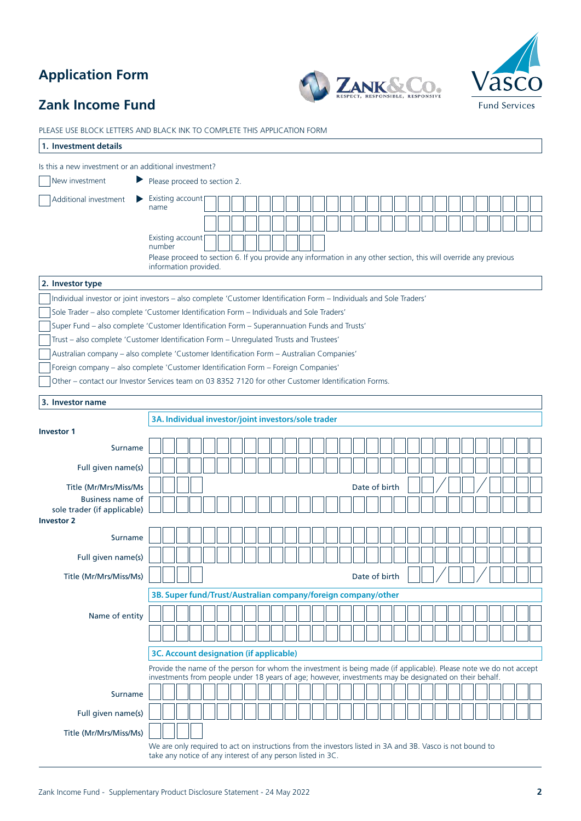# **Application Form**





# **Zank Income Fund**

| PLEASE USE BLOCK LETTERS AND BLACK INK TO COMPLETE THIS APPLICATION FORM                                                                                                                 |                                                                                                                    |  |  |  |  |  |  |  |               |  |  |  |  |  |  |  |
|------------------------------------------------------------------------------------------------------------------------------------------------------------------------------------------|--------------------------------------------------------------------------------------------------------------------|--|--|--|--|--|--|--|---------------|--|--|--|--|--|--|--|
| 1. Investment details                                                                                                                                                                    |                                                                                                                    |  |  |  |  |  |  |  |               |  |  |  |  |  |  |  |
| Is this a new investment or an additional investment?                                                                                                                                    |                                                                                                                    |  |  |  |  |  |  |  |               |  |  |  |  |  |  |  |
| New investment                                                                                                                                                                           | Please proceed to section 2.                                                                                       |  |  |  |  |  |  |  |               |  |  |  |  |  |  |  |
| Additional investment                                                                                                                                                                    | Existing account                                                                                                   |  |  |  |  |  |  |  |               |  |  |  |  |  |  |  |
|                                                                                                                                                                                          | name                                                                                                               |  |  |  |  |  |  |  |               |  |  |  |  |  |  |  |
|                                                                                                                                                                                          |                                                                                                                    |  |  |  |  |  |  |  |               |  |  |  |  |  |  |  |
|                                                                                                                                                                                          | Existing account<br>number                                                                                         |  |  |  |  |  |  |  |               |  |  |  |  |  |  |  |
|                                                                                                                                                                                          | Please proceed to section 6. If you provide any information in any other section, this will override any previous  |  |  |  |  |  |  |  |               |  |  |  |  |  |  |  |
|                                                                                                                                                                                          | information provided.                                                                                              |  |  |  |  |  |  |  |               |  |  |  |  |  |  |  |
| 2. Investor type                                                                                                                                                                         |                                                                                                                    |  |  |  |  |  |  |  |               |  |  |  |  |  |  |  |
| Individual investor or joint investors - also complete 'Customer Identification Form - Individuals and Sole Traders'                                                                     |                                                                                                                    |  |  |  |  |  |  |  |               |  |  |  |  |  |  |  |
| Sole Trader - also complete 'Customer Identification Form - Individuals and Sole Traders'<br>Super Fund - also complete 'Customer Identification Form - Superannuation Funds and Trusts' |                                                                                                                    |  |  |  |  |  |  |  |               |  |  |  |  |  |  |  |
| Trust - also complete 'Customer Identification Form - Unregulated Trusts and Trustees'                                                                                                   |                                                                                                                    |  |  |  |  |  |  |  |               |  |  |  |  |  |  |  |
| Australian company - also complete 'Customer Identification Form - Australian Companies'                                                                                                 |                                                                                                                    |  |  |  |  |  |  |  |               |  |  |  |  |  |  |  |
| Foreign company - also complete 'Customer Identification Form - Foreign Companies'                                                                                                       |                                                                                                                    |  |  |  |  |  |  |  |               |  |  |  |  |  |  |  |
| Other - contact our Investor Services team on 03 8352 7120 for other Customer Identification Forms.                                                                                      |                                                                                                                    |  |  |  |  |  |  |  |               |  |  |  |  |  |  |  |
| 3. Investor name                                                                                                                                                                         |                                                                                                                    |  |  |  |  |  |  |  |               |  |  |  |  |  |  |  |
|                                                                                                                                                                                          |                                                                                                                    |  |  |  |  |  |  |  |               |  |  |  |  |  |  |  |
| <b>Investor 1</b>                                                                                                                                                                        | 3A. Individual investor/joint investors/sole trader                                                                |  |  |  |  |  |  |  |               |  |  |  |  |  |  |  |
| Surname                                                                                                                                                                                  |                                                                                                                    |  |  |  |  |  |  |  |               |  |  |  |  |  |  |  |
|                                                                                                                                                                                          |                                                                                                                    |  |  |  |  |  |  |  |               |  |  |  |  |  |  |  |
| Full given name(s)                                                                                                                                                                       |                                                                                                                    |  |  |  |  |  |  |  |               |  |  |  |  |  |  |  |
| Title (Mr/Mrs/Miss/Ms                                                                                                                                                                    |                                                                                                                    |  |  |  |  |  |  |  | Date of birth |  |  |  |  |  |  |  |
| Business name of<br>sole trader (if applicable)                                                                                                                                          |                                                                                                                    |  |  |  |  |  |  |  |               |  |  |  |  |  |  |  |
| <b>Investor 2</b>                                                                                                                                                                        |                                                                                                                    |  |  |  |  |  |  |  |               |  |  |  |  |  |  |  |
| Surname                                                                                                                                                                                  |                                                                                                                    |  |  |  |  |  |  |  |               |  |  |  |  |  |  |  |
| Full given name(s)                                                                                                                                                                       |                                                                                                                    |  |  |  |  |  |  |  |               |  |  |  |  |  |  |  |
| Title (Mr/Mrs/Miss/Ms)                                                                                                                                                                   |                                                                                                                    |  |  |  |  |  |  |  | Date of birth |  |  |  |  |  |  |  |
|                                                                                                                                                                                          |                                                                                                                    |  |  |  |  |  |  |  |               |  |  |  |  |  |  |  |
|                                                                                                                                                                                          | 3B. Super fund/Trust/Australian company/foreign company/other                                                      |  |  |  |  |  |  |  |               |  |  |  |  |  |  |  |
| Name of entity                                                                                                                                                                           |                                                                                                                    |  |  |  |  |  |  |  |               |  |  |  |  |  |  |  |
|                                                                                                                                                                                          |                                                                                                                    |  |  |  |  |  |  |  |               |  |  |  |  |  |  |  |
|                                                                                                                                                                                          | 3C. Account designation (if applicable)                                                                            |  |  |  |  |  |  |  |               |  |  |  |  |  |  |  |
|                                                                                                                                                                                          | Provide the name of the person for whom the investment is being made (if applicable). Please note we do not accept |  |  |  |  |  |  |  |               |  |  |  |  |  |  |  |
|                                                                                                                                                                                          | investments from people under 18 years of age; however, investments may be designated on their behalf.             |  |  |  |  |  |  |  |               |  |  |  |  |  |  |  |
| Surname                                                                                                                                                                                  |                                                                                                                    |  |  |  |  |  |  |  |               |  |  |  |  |  |  |  |
| Full given name(s)                                                                                                                                                                       |                                                                                                                    |  |  |  |  |  |  |  |               |  |  |  |  |  |  |  |
| Title (Mr/Mrs/Miss/Ms)                                                                                                                                                                   |                                                                                                                    |  |  |  |  |  |  |  |               |  |  |  |  |  |  |  |
|                                                                                                                                                                                          | We are only required to act on instructions from the investors listed in 3A and 3B. Vasco is not bound to          |  |  |  |  |  |  |  |               |  |  |  |  |  |  |  |
|                                                                                                                                                                                          | take any notice of any interest of any person listed in 3C.                                                        |  |  |  |  |  |  |  |               |  |  |  |  |  |  |  |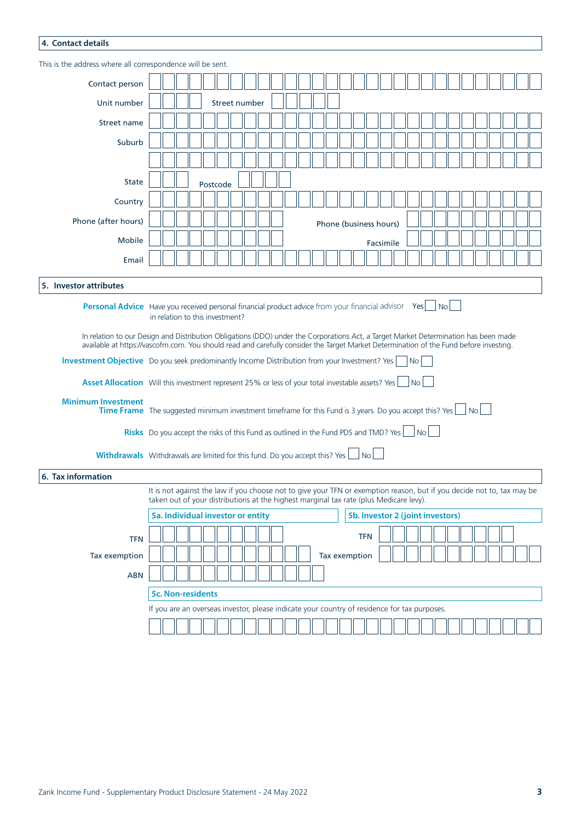### **4. Contact details**

| This is the address where all correspondence will be sent.                                                                           |                                                                                                                                                                                                                  |                                                                                                                                                                                                                                                                                |  |  |               |  |  |  |  |  |  |  |  |                                  |            |           |  |           |     |  |      |  |  |  |
|--------------------------------------------------------------------------------------------------------------------------------------|------------------------------------------------------------------------------------------------------------------------------------------------------------------------------------------------------------------|--------------------------------------------------------------------------------------------------------------------------------------------------------------------------------------------------------------------------------------------------------------------------------|--|--|---------------|--|--|--|--|--|--|--|--|----------------------------------|------------|-----------|--|-----------|-----|--|------|--|--|--|
| Contact person                                                                                                                       |                                                                                                                                                                                                                  |                                                                                                                                                                                                                                                                                |  |  |               |  |  |  |  |  |  |  |  |                                  |            |           |  |           |     |  |      |  |  |  |
| Unit number                                                                                                                          |                                                                                                                                                                                                                  |                                                                                                                                                                                                                                                                                |  |  | Street number |  |  |  |  |  |  |  |  |                                  |            |           |  |           |     |  |      |  |  |  |
| <b>Street name</b>                                                                                                                   |                                                                                                                                                                                                                  |                                                                                                                                                                                                                                                                                |  |  |               |  |  |  |  |  |  |  |  |                                  |            |           |  |           |     |  |      |  |  |  |
| Suburb                                                                                                                               |                                                                                                                                                                                                                  |                                                                                                                                                                                                                                                                                |  |  |               |  |  |  |  |  |  |  |  |                                  |            |           |  |           |     |  |      |  |  |  |
|                                                                                                                                      |                                                                                                                                                                                                                  |                                                                                                                                                                                                                                                                                |  |  |               |  |  |  |  |  |  |  |  |                                  |            |           |  |           |     |  |      |  |  |  |
| <b>State</b>                                                                                                                         |                                                                                                                                                                                                                  |                                                                                                                                                                                                                                                                                |  |  | Postcode      |  |  |  |  |  |  |  |  |                                  |            |           |  |           |     |  |      |  |  |  |
| Country                                                                                                                              |                                                                                                                                                                                                                  |                                                                                                                                                                                                                                                                                |  |  |               |  |  |  |  |  |  |  |  |                                  |            |           |  |           |     |  |      |  |  |  |
| Phone (after hours)                                                                                                                  |                                                                                                                                                                                                                  |                                                                                                                                                                                                                                                                                |  |  |               |  |  |  |  |  |  |  |  | Phone (business hours)           |            |           |  |           |     |  |      |  |  |  |
| Mobile                                                                                                                               |                                                                                                                                                                                                                  |                                                                                                                                                                                                                                                                                |  |  |               |  |  |  |  |  |  |  |  |                                  |            | Facsimile |  |           |     |  |      |  |  |  |
| Email                                                                                                                                |                                                                                                                                                                                                                  |                                                                                                                                                                                                                                                                                |  |  |               |  |  |  |  |  |  |  |  |                                  |            |           |  |           |     |  |      |  |  |  |
| 5. Investor attributes                                                                                                               |                                                                                                                                                                                                                  |                                                                                                                                                                                                                                                                                |  |  |               |  |  |  |  |  |  |  |  |                                  |            |           |  |           |     |  |      |  |  |  |
|                                                                                                                                      |                                                                                                                                                                                                                  |                                                                                                                                                                                                                                                                                |  |  |               |  |  |  |  |  |  |  |  |                                  |            |           |  |           |     |  |      |  |  |  |
| <b>Personal Advice</b> Have you received personal financial product advice from your financial advisor Yes                           |                                                                                                                                                                                                                  | in relation to this investment?                                                                                                                                                                                                                                                |  |  |               |  |  |  |  |  |  |  |  |                                  |            |           |  |           | Nol |  |      |  |  |  |
|                                                                                                                                      |                                                                                                                                                                                                                  | In relation to our Design and Distribution Obligations (DDO) under the Corporations Act, a Target Market Determination has been made<br>available at https://vascofm.com. You should read and carefully consider the Target Market Determination of the Fund before investing. |  |  |               |  |  |  |  |  |  |  |  |                                  |            |           |  |           |     |  |      |  |  |  |
|                                                                                                                                      |                                                                                                                                                                                                                  | <b>Investment Objective</b> Do you seek predominantly Income Distribution from your Investment? Yes<br>N <sub>o</sub>                                                                                                                                                          |  |  |               |  |  |  |  |  |  |  |  |                                  |            |           |  |           |     |  |      |  |  |  |
| Asset Allocation Will this investment represent 25% or less of your total investable assets? Yes                                     |                                                                                                                                                                                                                  |                                                                                                                                                                                                                                                                                |  |  |               |  |  |  |  |  |  |  |  |                                  |            |           |  | <b>No</b> |     |  |      |  |  |  |
| <b>Minimum Investment</b><br>Time Frame The suggested minimum investment timeframe for this Fund is 3 years. Do you accept this? Yes |                                                                                                                                                                                                                  |                                                                                                                                                                                                                                                                                |  |  |               |  |  |  |  |  |  |  |  |                                  |            |           |  |           |     |  | No l |  |  |  |
| <b>Risks</b> Do you accept the risks of this Fund as outlined in the Fund PDS and TMD? Yes $\Box$ No                                 |                                                                                                                                                                                                                  |                                                                                                                                                                                                                                                                                |  |  |               |  |  |  |  |  |  |  |  |                                  |            |           |  |           |     |  |      |  |  |  |
| <b>Withdrawals</b> Withdrawals are limited for this fund. Do you accept this? Yes                                                    |                                                                                                                                                                                                                  |                                                                                                                                                                                                                                                                                |  |  |               |  |  |  |  |  |  |  |  |                                  | l No       |           |  |           |     |  |      |  |  |  |
| 6. Tax information                                                                                                                   |                                                                                                                                                                                                                  |                                                                                                                                                                                                                                                                                |  |  |               |  |  |  |  |  |  |  |  |                                  |            |           |  |           |     |  |      |  |  |  |
|                                                                                                                                      | It is not against the law if you choose not to give your TFN or exemption reason, but if you decide not to, tax may be<br>taken out of your distributions at the highest marginal tax rate (plus Medicare levy). |                                                                                                                                                                                                                                                                                |  |  |               |  |  |  |  |  |  |  |  |                                  |            |           |  |           |     |  |      |  |  |  |
|                                                                                                                                      |                                                                                                                                                                                                                  | 5a. Individual investor or entity                                                                                                                                                                                                                                              |  |  |               |  |  |  |  |  |  |  |  | 5b. Investor 2 (joint investors) |            |           |  |           |     |  |      |  |  |  |
| <b>TFN</b>                                                                                                                           |                                                                                                                                                                                                                  |                                                                                                                                                                                                                                                                                |  |  |               |  |  |  |  |  |  |  |  |                                  | <b>TFN</b> |           |  |           |     |  |      |  |  |  |
| Tax exemption                                                                                                                        |                                                                                                                                                                                                                  |                                                                                                                                                                                                                                                                                |  |  |               |  |  |  |  |  |  |  |  | Tax exemption                    |            |           |  |           |     |  |      |  |  |  |
| <b>ABN</b>                                                                                                                           |                                                                                                                                                                                                                  |                                                                                                                                                                                                                                                                                |  |  |               |  |  |  |  |  |  |  |  |                                  |            |           |  |           |     |  |      |  |  |  |
|                                                                                                                                      |                                                                                                                                                                                                                  | <b>5c. Non-residents</b>                                                                                                                                                                                                                                                       |  |  |               |  |  |  |  |  |  |  |  |                                  |            |           |  |           |     |  |      |  |  |  |
|                                                                                                                                      | If you are an overseas investor, please indicate your country of residence for tax purposes.                                                                                                                     |                                                                                                                                                                                                                                                                                |  |  |               |  |  |  |  |  |  |  |  |                                  |            |           |  |           |     |  |      |  |  |  |
|                                                                                                                                      |                                                                                                                                                                                                                  |                                                                                                                                                                                                                                                                                |  |  |               |  |  |  |  |  |  |  |  |                                  |            |           |  |           |     |  |      |  |  |  |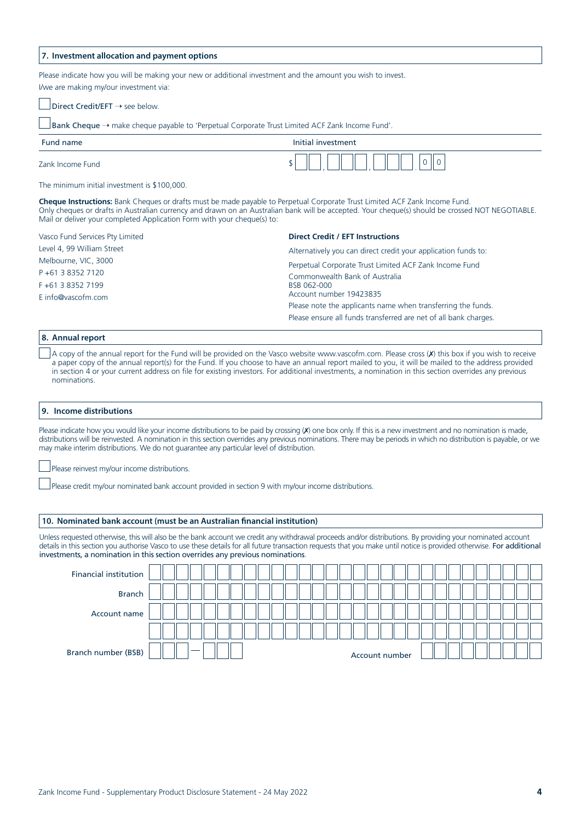#### **7. Investment allocation and payment options**

Please indicate how you will be making your new or additional investment and the amount you wish to invest. I/we are making my/our investment via:

 $\Box$  Direct Credit/EFT  $\rightarrow$  see below.

Bank Cheque → make cheque payable to 'Perpetual Corporate Trust Limited ACF Zank Income Fund'.

| Fund name        | Initial investment |
|------------------|--------------------|
| Zank Income Fund | v<br>◡             |

The minimum initial investment is \$100,000.

**Cheque Instructions:** Bank Cheques or drafts must be made payable to Perpetual Corporate Trust Limited ACF Zank Income Fund. Only cheques or drafts in Australian currency and drawn on an Australian bank will be accepted. Your cheque(s) should be crossed NOT NEGOTIABLE. Mail or deliver your completed Application Form with your cheque(s) to:

Vasco Fund Services Pty Limited

Level 4, 99 William Street Melbourne, VIC, 3000

P +61 3 8352 7120

F +61 3 8352 7199

E info@vascofm.com

#### **Direct Credit / EFT Instructions**

Alternatively you can direct credit your application funds to:

Perpetual Corporate Trust Limited ACF Zank Income Fund Commonwealth Bank of Australia BSB 062-000 Account number 19423835 Please note the applicants name when transferring the funds. Please ensure all funds transferred are net of all bank charges.

#### **8. Annual report**

A copy of the annual report for the Fund will be provided on the Vasco website www.vascofm.com. Please cross (X) this box if you wish to receive a paper copy of the annual report(s) for the Fund. If you choose to have an annual report mailed to you, it will be mailed to the address provided in section 4 or your current address on file for existing investors. For additional investments, a nomination in this section overrides any previous nominations.

#### **9. Income distributions**

Please indicate how you would like your income distributions to be paid by crossing (x) one box only. If this is a new investment and no nomination is made, distributions will be reinvested. A nomination in this section overrides any previous nominations. There may be periods in which no distribution is payable, or we may make interim distributions. We do not guarantee any particular level of distribution.

Please reinvest my/our income distributions.

Please credit my/our nominated bank account provided in section 9 with my/our income distributions.

#### **10. Nominated bank account (must be an Australian financial institution)**

Unless requested otherwise, this will also be the bank account we credit any withdrawal proceeds and/or distributions. By providing your nominated account details in this section you authorise Vasco to use these details for all future transaction requests that you make until notice is provided otherwise. For additional investments, a nomination in this section overrides any previous nominations.

| Financial institution |  |        |  |  |  |  |  |  |                |  |  |  |  |  |  |  |  |
|-----------------------|--|--------|--|--|--|--|--|--|----------------|--|--|--|--|--|--|--|--|
| <b>Branch</b>         |  |        |  |  |  |  |  |  |                |  |  |  |  |  |  |  |  |
| Account name          |  |        |  |  |  |  |  |  |                |  |  |  |  |  |  |  |  |
|                       |  |        |  |  |  |  |  |  |                |  |  |  |  |  |  |  |  |
| Branch number (BSB)   |  | $\sim$ |  |  |  |  |  |  | Account number |  |  |  |  |  |  |  |  |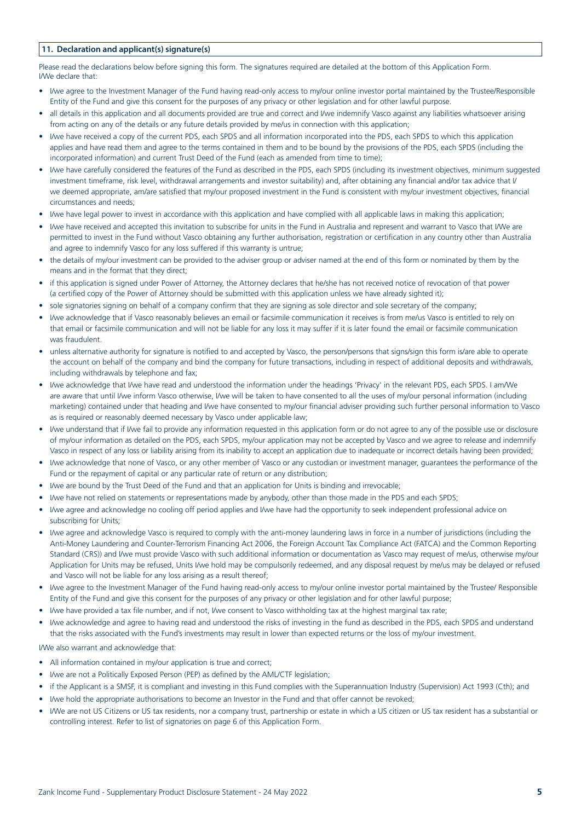### **11. Declaration and applicant(s) signature(s)**

Please read the declarations below before signing this form. The signatures required are detailed at the bottom of this Application Form. I/We declare that:

- *•* I/we agree to the Investment Manager of the Fund having read-only access to my/our online investor portal maintained by the Trustee/Responsible Entity of the Fund and give this consent for the purposes of any privacy or other legislation and for other lawful purpose.
- all details in this application and all documents provided are true and correct and I/we indemnify Vasco against any liabilities whatsoever arising from acting on any of the details or any future details provided by me/us in connection with this application;
- *•* I/we have received a copy of the current PDS, each SPDS and all information incorporated into the PDS, each SPDS to which this application applies and have read them and agree to the terms contained in them and to be bound by the provisions of the PDS, each SPDS (including the incorporated information) and current Trust Deed of the Fund (each as amended from time to time);
- *•* I/we have carefully considered the features of the Fund as described in the PDS, each SPDS (including its investment objectives, minimum suggested investment timeframe, risk level, withdrawal arrangements and investor suitability) and, after obtaining any financial and/or tax advice that I/ we deemed appropriate, am/are satisfied that my/our proposed investment in the Fund is consistent with my/our investment objectives, financial circumstances and needs;
- *•* I/we have legal power to invest in accordance with this application and have complied with all applicable laws in making this application;
- *•* I/we have received and accepted this invitation to subscribe for units in the Fund in Australia and represent and warrant to Vasco that I/We are permitted to invest in the Fund without Vasco obtaining any further authorisation, registration or certification in any country other than Australia and agree to indemnify Vasco for any loss suffered if this warranty is untrue;
- *•* the details of my/our investment can be provided to the adviser group or adviser named at the end of this form or nominated by them by the means and in the format that they direct;
- *•* if this application is signed under Power of Attorney, the Attorney declares that he/she has not received notice of revocation of that power (a certified copy of the Power of Attorney should be submitted with this application unless we have already sighted it);
- *•* sole signatories signing on behalf of a company confirm that they are signing as sole director and sole secretary of the company;
- *•* I/we acknowledge that if Vasco reasonably believes an email or facsimile communication it receives is from me/us Vasco is entitled to rely on that email or facsimile communication and will not be liable for any loss it may suffer if it is later found the email or facsimile communication was fraudulent.
- *•* unless alternative authority for signature is notified to and accepted by Vasco, the person/persons that signs/sign this form is/are able to operate the account on behalf of the company and bind the company for future transactions, including in respect of additional deposits and withdrawals, including withdrawals by telephone and fax;
- *•* I/we acknowledge that I/we have read and understood the information under the headings 'Privacy' in the relevant PDS, each SPDS. I am/We are aware that until I/we inform Vasco otherwise, I/we will be taken to have consented to all the uses of my/our personal information (including marketing) contained under that heading and I/we have consented to my/our financial adviser providing such further personal information to Vasco as is required or reasonably deemed necessary by Vasco under applicable law;
- I/we understand that if I/we fail to provide any information requested in this application form or do not agree to any of the possible use or disclosure of my/our information as detailed on the PDS, each SPDS, my/our application may not be accepted by Vasco and we agree to release and indemnify Vasco in respect of any loss or liability arising from its inability to accept an application due to inadequate or incorrect details having been provided;
- *•* I/we acknowledge that none of Vasco, or any other member of Vasco or any custodian or investment manager, guarantees the performance of the Fund or the repayment of capital or any particular rate of return or any distribution;
- *•* I/we are bound by the Trust Deed of the Fund and that an application for Units is binding and irrevocable;
- *•* I/we have not relied on statements or representations made by anybody, other than those made in the PDS and each SPDS;
- *•* I/we agree and acknowledge no cooling off period applies and I/we have had the opportunity to seek independent professional advice on subscribing for Units;
- *•* I/we agree and acknowledge Vasco is required to comply with the anti-money laundering laws in force in a number of jurisdictions (including the Anti-Money Laundering and Counter-Terrorism Financing Act 2006, the Foreign Account Tax Compliance Act (FATCA) and the Common Reporting Standard (CRS)) and I/we must provide Vasco with such additional information or documentation as Vasco may request of me/us, otherwise my/our Application for Units may be refused, Units I/we hold may be compulsorily redeemed, and any disposal request by me/us may be delayed or refused and Vasco will not be liable for any loss arising as a result thereof;
- *•* I/we agree to the Investment Manager of the Fund having read-only access to my/our online investor portal maintained by the Trustee/ Responsible Entity of the Fund and give this consent for the purposes of any privacy or other legislation and for other lawful purpose;
- *•* I/we have provided a tax file number, and if not, I/we consent to Vasco withholding tax at the highest marginal tax rate;
- *•* I/we acknowledge and agree to having read and understood the risks of investing in the fund as described in the PDS, each SPDS and understand that the risks associated with the Fund's investments may result in lower than expected returns or the loss of my/our investment.

I/We also warrant and acknowledge that:

- *•* All information contained in my/our application is true and correct;
- *•* I/we are not a Politically Exposed Person (PEP) as defined by the AML/CTF legislation;
- *•* if the Applicant is a SMSF, it is compliant and investing in this Fund complies with the Superannuation Industry (Supervision) Act 1993 (Cth); and
- *•* I/we hold the appropriate authorisations to become an Investor in the Fund and that offer cannot be revoked;
- *•* I/We are not US Citizens or US tax residents, nor a company trust, partnership or estate in which a US citizen or US tax resident has a substantial or controlling interest. Refer to list of signatories on page 6 of this Application Form.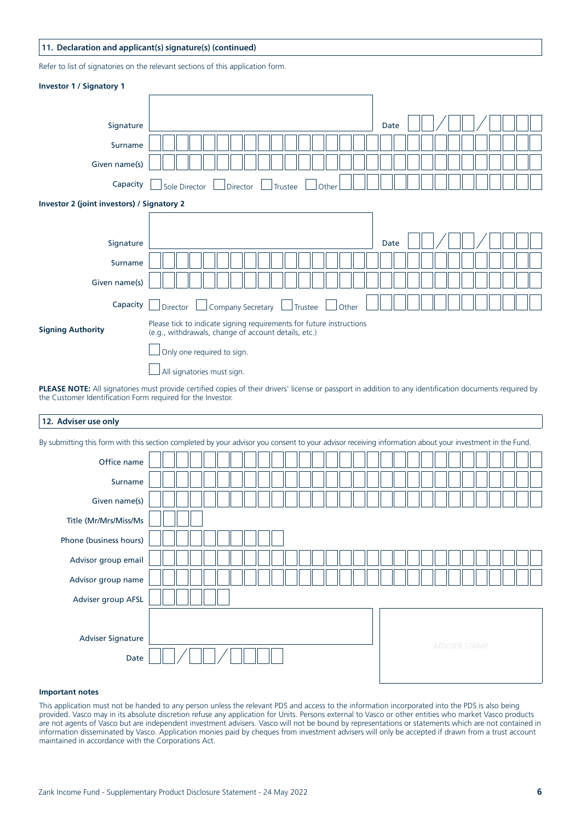### **11. Declaration and applicant(s) signature(s) (continued)**

Refer to list of signatories on the relevant sections of this application form.

| <b>Investor 1 / Signatory 1</b>            |                                                                                                                              |                                                                                   |
|--------------------------------------------|------------------------------------------------------------------------------------------------------------------------------|-----------------------------------------------------------------------------------|
|                                            |                                                                                                                              |                                                                                   |
| Signature                                  |                                                                                                                              | Date                                                                              |
| Surname                                    |                                                                                                                              |                                                                                   |
| Given name(s)                              |                                                                                                                              |                                                                                   |
| Capacity                                   | Sole Director<br>Director<br>Trustee<br>Other                                                                                |                                                                                   |
| Investor 2 (joint investors) / Signatory 2 |                                                                                                                              |                                                                                   |
|                                            |                                                                                                                              |                                                                                   |
| Signature                                  |                                                                                                                              | Date                                                                              |
| Surname                                    |                                                                                                                              |                                                                                   |
| Given name(s)                              |                                                                                                                              |                                                                                   |
| Capacity                                   | Company Secretary<br>Director<br>Trustee<br>Other                                                                            |                                                                                   |
| <b>Signing Authority</b>                   | Please tick to indicate signing requirements for future instructions<br>(e.g., withdrawals, change of account details, etc.) |                                                                                   |
|                                            | Only one required to sign.                                                                                                   |                                                                                   |
|                                            | All signatories must sign.                                                                                                   |                                                                                   |
|                                            | the contract of the contract of the contract of the contract of the contract of the contract of the contract of              | the state of the state of the state of the<br>the state of the state of the state |

**PLEASE NOTE:** All signatories must provide certified copies of their drivers' license or passport in addition to any identification documents required by the Customer Identification Form required for the Investor.

#### **12. Adviser use only**

By submitting this form with this section completed by your advisor you consent to your advisor receiving information about your investment in the Fund.

| -----                     |  |  |  |  |  |  |  |  |  |  |  |  |                      |  |  |
|---------------------------|--|--|--|--|--|--|--|--|--|--|--|--|----------------------|--|--|
| Office name               |  |  |  |  |  |  |  |  |  |  |  |  |                      |  |  |
| Surname                   |  |  |  |  |  |  |  |  |  |  |  |  |                      |  |  |
| Given name(s)             |  |  |  |  |  |  |  |  |  |  |  |  |                      |  |  |
| Title (Mr/Mrs/Miss/Ms     |  |  |  |  |  |  |  |  |  |  |  |  |                      |  |  |
| Phone (business hours)    |  |  |  |  |  |  |  |  |  |  |  |  |                      |  |  |
| Advisor group email       |  |  |  |  |  |  |  |  |  |  |  |  |                      |  |  |
| Advisor group name        |  |  |  |  |  |  |  |  |  |  |  |  |                      |  |  |
| Adviser group AFSL        |  |  |  |  |  |  |  |  |  |  |  |  |                      |  |  |
|                           |  |  |  |  |  |  |  |  |  |  |  |  |                      |  |  |
| Adviser Signature<br>Date |  |  |  |  |  |  |  |  |  |  |  |  | <b>ADVISER STAMP</b> |  |  |

#### **Important notes**

This application must not be handed to any person unless the relevant PDS and access to the information incorporated into the PDS is also being provided. Vasco may in its absolute discretion refuse any application for Units. Persons external to Vasco or other entities who market Vasco products are not agents of Vasco but are independent investment advisers. Vasco will not be bound by representations or statements which are not contained in information disseminated by Vasco. Application monies paid by cheques from investment advisers will only be accepted if drawn from a trust account maintained in accordance with the Corporations Act.